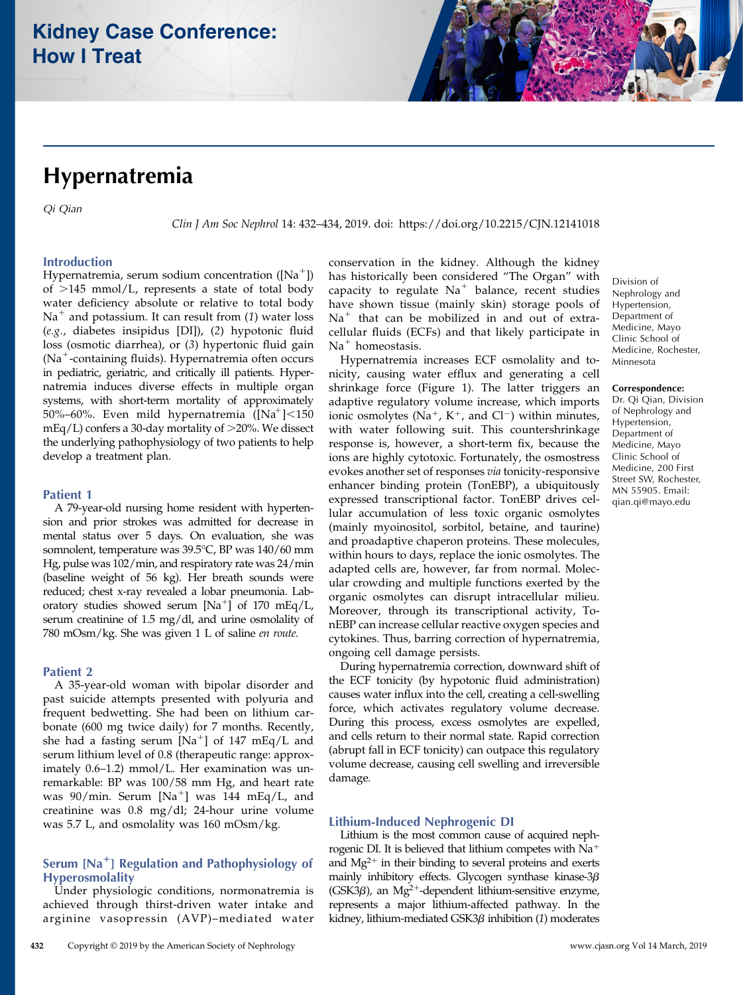## **Kidney Case Conference: How I Treat**

# Hypernatremia

Qi Qian

Clin J Am Soc Nephrol 14: 432–434, 2019. doi:<https://doi.org/10.2215/CJN.12141018>

## Introduction

Hypernatremia, serum sodium concentration ( $[Na^+]$ ) of  $>145$  mmol/L, represents a state of total body water deficiency absolute or relative to total body  $Na<sup>+</sup>$  and potassium. It can result from (1) water loss (e.g., diabetes insipidus [DI]), (2) hypotonic fluid loss (osmotic diarrhea), or (3) hypertonic fluid gain ( $Na<sup>+</sup>$ -containing fluids). Hypernatremia often occurs in pediatric, geriatric, and critically ill patients. Hypernatremia induces diverse effects in multiple organ systems, with short-term mortality of approximately 50%–60%. Even mild hypernatremia  $([Na<sup>+</sup>] < 150$  $mEq/L$ ) confers a 30-day mortality of  $>$ 20%. We dissect the underlying pathophysiology of two patients to help develop a treatment plan.

## Patient 1

A 79-year-old nursing home resident with hypertension and prior strokes was admitted for decrease in mental status over 5 days. On evaluation, she was somnolent, temperature was 39.5°C, BP was 140/60 mm Hg, pulse was 102/min, and respiratory rate was 24/min (baseline weight of 56 kg). Her breath sounds were reduced; chest x-ray revealed a lobar pneumonia. Laboratory studies showed serum [Na<sup>+</sup>] of 170 mEq/L, serum creatinine of 1.5 mg/dl, and urine osmolality of 780 mOsm/kg. She was given 1 L of saline en route.

### Patient 2

A 35-year-old woman with bipolar disorder and past suicide attempts presented with polyuria and frequent bedwetting. She had been on lithium carbonate (600 mg twice daily) for 7 months. Recently, she had a fasting serum [Na<sup>+</sup>] of 147 mEq/L and serum lithium level of 0.8 (therapeutic range: approximately 0.6–1.2) mmol/L. Her examination was unremarkable: BP was 100/58 mm Hg, and heart rate was  $90/\text{min}$ . Serum [Na<sup>+</sup>] was 144 mEq/L, and creatinine was 0.8 mg/dl; 24-hour urine volume was 5.7 L, and osmolality was 160 mOsm/kg.

## Serum  $[Na^+]$  Regulation and Pathophysiology of Hyperosmolality

Under physiologic conditions, normonatremia is achieved through thirst-driven water intake and arginine vasopressin (AVP)–mediated water

conservation in the kidney. Although the kidney has historically been considered "The Organ" with capacity to regulate  $Na<sup>+</sup>$  balance, recent studies have shown tissue (mainly skin) storage pools of  $Na<sup>+</sup>$  that can be mobilized in and out of extracellular fluids (ECFs) and that likely participate in  $Na<sup>+</sup> homeostasis.$ 

Hypernatremia increases ECF osmolality and tonicity, causing water efflux and generating a cell shrinkage force (Figure 1). The latter triggers an adaptive regulatory volume increase, which imports ionic osmolytes (Na<sup>+</sup>, K<sup>+</sup>, and Cl<sup>-</sup>) within minutes, with water following suit. This countershrinkage response is, however, a short-term fix, because the ions are highly cytotoxic. Fortunately, the osmostress evokes another set of responses via tonicity-responsive enhancer binding protein (TonEBP), a ubiquitously expressed transcriptional factor. TonEBP drives cellular accumulation of less toxic organic osmolytes (mainly myoinositol, sorbitol, betaine, and taurine) and proadaptive chaperon proteins. These molecules, within hours to days, replace the ionic osmolytes. The adapted cells are, however, far from normal. Molecular crowding and multiple functions exerted by the organic osmolytes can disrupt intracellular milieu. Moreover, through its transcriptional activity, TonEBP can increase cellular reactive oxygen species and cytokines. Thus, barring correction of hypernatremia, ongoing cell damage persists.

During hypernatremia correction, downward shift of the ECF tonicity (by hypotonic fluid administration) causes water influx into the cell, creating a cell-swelling force, which activates regulatory volume decrease. During this process, excess osmolytes are expelled, and cells return to their normal state. Rapid correction (abrupt fall in ECF tonicity) can outpace this regulatory volume decrease, causing cell swelling and irreversible damage.

## Lithium-Induced Nephrogenic DI

Lithium is the most common cause of acquired nephrogenic DI. It is believed that lithium competes with  $Na<sup>+</sup>$ and  $Mg^{2+}$  in their binding to several proteins and exerts mainly inhibitory effects. Glycogen synthase kinase- $3\beta$  $(GSK3\beta)$ , an Mg<sup>2+</sup>-dependent lithium-sensitive enzyme, represents a major lithium-affected pathway. In the kidney, lithium-mediated GSK3 $\beta$  inhibition (1) moderates

Division of Nephrology and Hypertension, Department of Medicine, Mayo Clinic School of Medicine, Rochester, Minnesota

## Correspondence:

Dr. Qi Qian, Division of Nephrology and Hypertension, Department of Medicine, Mayo Clinic School of Medicine, 200 First Street SW, Rochester, MN 55905. Email: [qian.qi@mayo.edu](mailto:qian.qi@mayo.edu)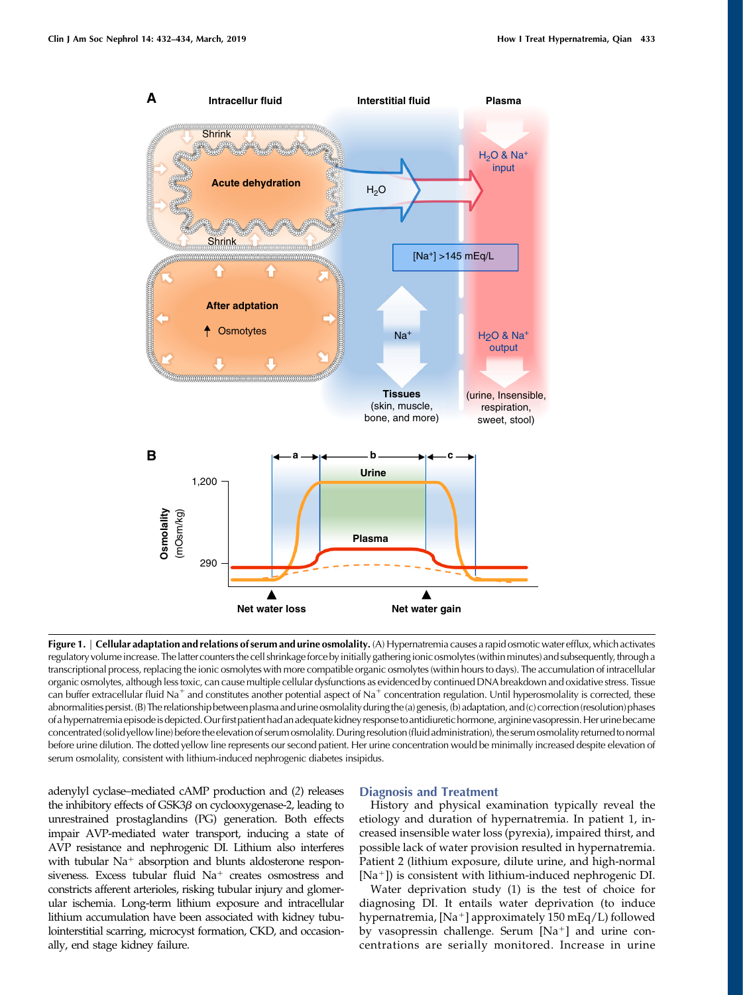

Figure 1. | Cellular adaptation and relations of serum and urine osmolality. (A) Hypernatremia causes a rapid osmotic water efflux, which activates regulatory volume increase. The latter counters the cell shrinkage force by initially gathering ionic osmolytes (within minutes) and subsequently, through a transcriptional process, replacing the ionic osmolytes with more compatible organic osmolytes (within hours to days). The accumulation of intracellular organic osmolytes, although less toxic, can cause multiple cellular dysfunctions as evidenced by continued DNA breakdown and oxidative stress. Tissue can buffer extracellular fluid Na<sup>+</sup> and constitutes another potential aspect of Na<sup>+</sup> concentration regulation. Until hyperosmolality is corrected, these abnormalities persist. (B) The relationship between plasma and urine osmolality during the (a) genesis, (b) adaptation, and (c) correction (resolution) phases ofahypernatremia episodeisdepicted.Ourfirstpatienthad an adequate kidney responseto antidiuretichormone, arginine vasopressin.Herurinebecame concentrated(solidyellowline) beforethe elevation of serum osmolality.During resolution(fluid administration),the serum osmolality returnedto normal before urine dilution. The dotted yellow line represents our second patient. Her urine concentration would be minimally increased despite elevation of serum osmolality, consistent with lithium-induced nephrogenic diabetes insipidus.

adenylyl cyclase–mediated cAMP production and (2) releases the inhibitory effects of  $GSK3\beta$  on cyclooxygenase-2, leading to unrestrained prostaglandins (PG) generation. Both effects impair AVP-mediated water transport, inducing a state of AVP resistance and nephrogenic DI. Lithium also interferes with tubular  $Na<sup>+</sup>$  absorption and blunts aldosterone responsiveness. Excess tubular fluid  $Na<sup>+</sup>$  creates osmostress and constricts afferent arterioles, risking tubular injury and glomerular ischemia. Long-term lithium exposure and intracellular lithium accumulation have been associated with kidney tubulointerstitial scarring, microcyst formation, CKD, and occasionally, end stage kidney failure.

### Diagnosis and Treatment

History and physical examination typically reveal the etiology and duration of hypernatremia. In patient 1, increased insensible water loss (pyrexia), impaired thirst, and possible lack of water provision resulted in hypernatremia. Patient 2 (lithium exposure, dilute urine, and high-normal  $[Na^+]$ ) is consistent with lithium-induced nephrogenic DI.

Water deprivation study (1) is the test of choice for diagnosing DI. It entails water deprivation (to induce hypernatremia, [Na<sup>+</sup>] approximately 150 mEq/L) followed by vasopressin challenge. Serum  $[Na^+]$  and urine concentrations are serially monitored. Increase in urine